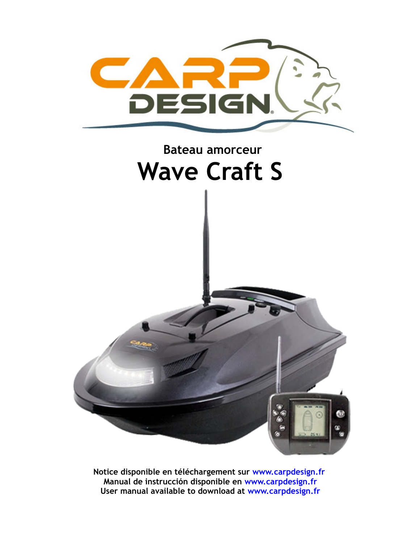

# **Wave Craft S**

**Notice disponible en téléchargement sur [www.carpdesign.fr](http://www.carpdesign.fr/) Manual de instrucción disponible en [www.carpdesign.fr](http://www.carpdesign.fr/) User manual available to download at [www.carpdesign.fr](http://www.carpdesign.fr/)**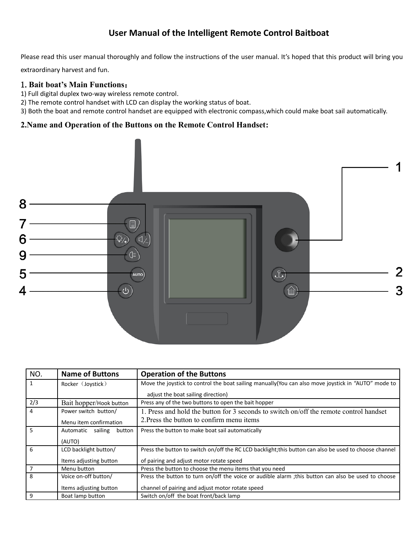# **User Manual of the Intelligent Remote Control Baitboat**

Please read this user manual thoroughly and follow the instructions of the user manual. It's hoped that this product will bring you

extraordinary harvest and fun.

### 1.**Bait boat's Main Functions**:

- 1) Full digital duplex two-way wireless remote control.
- 2) The remote control handset with LCD can display the working status of boat.
- 3) Both the boat and remote control handset are equipped with electronic compass,which could make boat sail automatically.

### **2.Name and Operation of the Buttons on the Remote Control Handset:**



| NO.            | <b>Name of Buttons</b>      | <b>Operation of the Buttons</b>                                                                        |
|----------------|-----------------------------|--------------------------------------------------------------------------------------------------------|
| 1              | Rocker (Joystick)           | Move the joystick to control the boat sailing manually (You can also move joystick in "AUTO" mode to   |
|                |                             | adjust the boat sailing direction)                                                                     |
| 2/3            | Bait hopper/Hook button     | Press any of the two buttons to open the bait hopper                                                   |
| 4              | Power switch button/        | 1. Press and hold the button for 3 seconds to switch on/off the remote control handset                 |
|                | Menu item confirmation      | 2. Press the button to confirm menu items                                                              |
| 5              | Automatic sailing<br>button | Press the button to make boat sail automatically                                                       |
|                | (AUTO)                      |                                                                                                        |
| 6              | LCD backlight button/       | Press the button to switch on/off the RC LCD backlight; this button can also be used to choose channel |
|                | Items adjusting button      | of pairing and adjust motor rotate speed                                                               |
| $\overline{7}$ | Menu button                 | Press the button to choose the menu items that you need                                                |
| 8              | Voice on-off button/        | Press the button to turn on/off the voice or audible alarm ; this button can also be used to choose    |
|                | Items adjusting button      | channel of pairing and adjust motor rotate speed                                                       |
| 9              | Boat lamp button            | Switch on/off the boat front/back lamp                                                                 |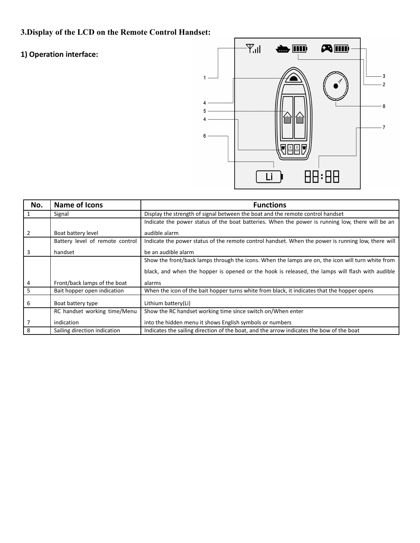# **3.Display of the LCD on the Remote Control Handset:**

# **1) Operation interface:**



| No. | Name of Icons                   | <b>Functions</b>                                                                                   |  |  |
|-----|---------------------------------|----------------------------------------------------------------------------------------------------|--|--|
|     | Signal                          | Display the strength of signal between the boat and the remote control handset                     |  |  |
|     |                                 | Indicate the power status of the boat batteries. When the power is running low, there will be an   |  |  |
| 2   | Boat battery level              | audible alarm                                                                                      |  |  |
|     | Battery level of remote control | Indicate the power status of the remote control handset. When the power is running low, there will |  |  |
|     | handset                         | be an audible alarm                                                                                |  |  |
|     |                                 | Show the front/back lamps through the icons. When the lamps are on, the icon will turn white from  |  |  |
|     |                                 | black, and when the hopper is opened or the hook is released, the lamps will flash with audible    |  |  |
| 4   | Front/back lamps of the boat    | alarms                                                                                             |  |  |
| 5   | Bait hopper open indication     | When the icon of the bait hopper turns white from black, it indicates that the hopper opens        |  |  |
| 6   | Boat battery type               | Lithium battery(Li)                                                                                |  |  |
|     | RC handset working time/Menu    | Show the RC handset working time since switch on/When enter                                        |  |  |
|     | indication                      | into the hidden menu it shows English symbols or numbers                                           |  |  |
| 8   | Sailing direction indication    | Indicates the sailing direction of the boat, and the arrow indicates the bow of the boat           |  |  |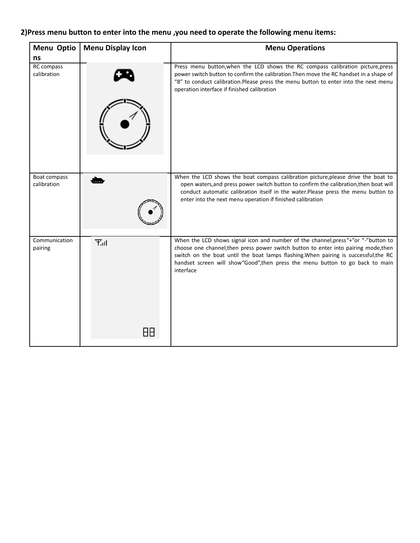# **2)Press menu button to enter into the menu ,you need to operate the following menu items:**

| Menu Optio                  | <b>Menu Display Icon</b> | <b>Menu Operations</b>                                                                                                                                                                                                                                                                                                                                          |  |
|-----------------------------|--------------------------|-----------------------------------------------------------------------------------------------------------------------------------------------------------------------------------------------------------------------------------------------------------------------------------------------------------------------------------------------------------------|--|
| ns                          |                          |                                                                                                                                                                                                                                                                                                                                                                 |  |
| RC compass<br>calibration   |                          | Press menu button, when the LCD shows the RC compass calibration picture, press<br>power switch button to confirm the calibration. Then move the RC handset in a shape of<br>"8" to conduct calibration. Please press the menu button to enter into the next menu<br>operation interface if finished calibration                                                |  |
|                             |                          |                                                                                                                                                                                                                                                                                                                                                                 |  |
| Boat compass<br>calibration |                          | When the LCD shows the boat compass calibration picture, please drive the boat to<br>open waters, and press power switch button to confirm the calibration, then boat will<br>conduct automatic calibration itself in the water.Please press the menu button to<br>enter into the next menu operation if finished calibration                                   |  |
| Communication<br>pairing    | $T_{\rm all}$            | When the LCD shows signal icon and number of the channel, press "+"or "-"button to<br>choose one channel, then press power switch button to enter into pairing mode, then<br>switch on the boat until the boat lamps flashing. When pairing is successful, the RC<br>handset screen will show"Good", then press the menu button to go back to main<br>interface |  |
|                             | 88                       |                                                                                                                                                                                                                                                                                                                                                                 |  |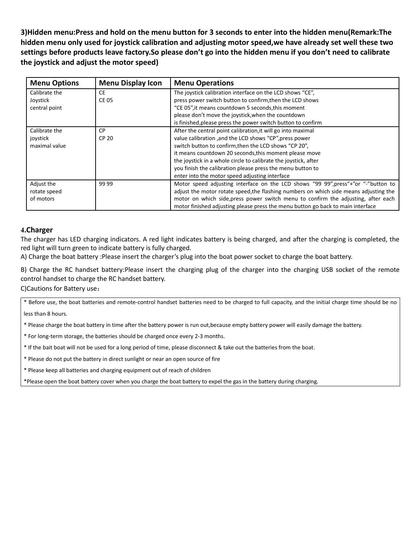**3)Hidden menu:Press and hold on the menu button for 3 seconds to enter into the hidden menu(Remark:The hidden menu only used for joystick calibration and adjusting motor speed,we have already set well these two settings before products leave factory.So please don't go into the hidden menu if you don't need to calibrate the joystick and adjust the motor speed)**

| <b>Menu Options</b>        | <b>Menu Display Icon</b> | <b>Menu Operations</b>                                                                |  |
|----------------------------|--------------------------|---------------------------------------------------------------------------------------|--|
| Calibrate the<br><b>CE</b> |                          | The joystick calibration interface on the LCD shows "CE",                             |  |
| Joystick<br><b>CE 05</b>   |                          | press power switch button to confirm, then the LCD shows                              |  |
| central point              |                          | "CE 05", it means countdown 5 seconds, this moment                                    |  |
|                            |                          | please don't move the joystick, when the countdown                                    |  |
|                            |                          | is finished, please press the power switch button to confirm                          |  |
| Calibrate the              | <b>CP</b>                | After the central point calibration, it will go into maximal                          |  |
| joystick                   | CP 20                    | value calibration , and the LCD shows "CP", press power                               |  |
| maximal value              |                          | switch button to confirm, then the LCD shows "CP 20",                                 |  |
|                            |                          | it means countdown 20 seconds, this moment please move                                |  |
|                            |                          | the joystick in a whole circle to calibrate the joystick, after                       |  |
|                            |                          | you finish the calibration please press the menu button to                            |  |
|                            |                          | enter into the motor speed adjusting interface                                        |  |
| 99 99<br>Adjust the        |                          | Motor speed adjusting interface on the LCD shows "99 99", press"+"or "-"button to     |  |
| rotate speed               |                          | adjust the motor rotate speed, the flashing numbers on which side means adjusting the |  |
| of motors                  |                          | motor on which side, press power switch menu to confirm the adjusting, after each     |  |
|                            |                          | motor finished adjusting please press the menu button go back to main interface       |  |

### **4.Charger**

The charger has LED charging indicators. A red light indicates battery is being charged, and after the charging is completed, the red light will turn green to indicate battery is fully charged.

A) Charge the boat battery :Please insert the charger's plug into the boat power socket to charge the boat battery.

B) Charge the RC handset battery:Please insert the charging plug of the charger into the charging USB socket of the remote control handset to charge the RC handset battery.

C)Cautions for Battery use:

\* Before use, the boat batteries and remote-control handset batteries need to be charged to full capacity, and the initial charge time should be no less than 8 hours.

\* Please charge the boat battery in time after the battery power is run out,because empty battery power will easily damage the battery.

\* For long-term storage, the batteries should be charged once every 2-3 months.

\* If the bait boat will not be used for a long period of time, please disconnect & take out the batteries from the boat.

\* Please do not put the battery in direct sunlight or near an open source of fire

\* Please keep all batteries and charging equipment out of reach of children

\*Please open the boat battery cover when you charge the boat battery to expel the gas in the battery during charging.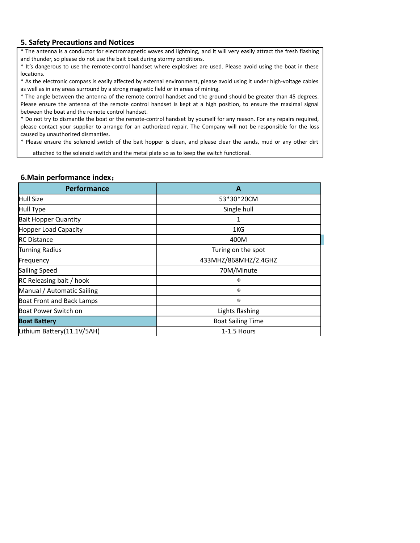### **5. Safety Precautions and Notices**

\* The antenna is a conductor for electromagnetic waves and lightning, and it will very easily attract the fresh flashing and thunder, so please do not use the bait boat during stormy conditions.

\* It's dangerous to use the remote-control handset where explosives are used. Please avoid using the boat in these locations.

\* As the electronic compass is easily affected by external environment, please avoid using it under high-voltage cables as well as in any areas surround by a strong magnetic field or in areas of mining.

\* The angle between the antenna of the remote control handset and the ground should be greater than 45 degrees. Please ensure the antenna of the remote control handset is kept at a high position, to ensure the maximal signal between the boat and the remote control handset.

\* Do not try to dismantle the boat or the remote-control handset by yourself for any reason. For any repairs required, please contact your supplier to arrange for an authorized repair. The Company will not be responsible for the loss caused by unauthorized dismantles.

\* Please ensure the solenoid switch of the bait hopper is clean, and please clear the sands, mud or any other dirt

attached to the solenoid switch and the metal plate so as to keep the switch functional.

### **6.Main performance index**:

| Performance                     | A                        |  |
|---------------------------------|--------------------------|--|
| Hull Size                       | 53*30*20CM               |  |
| Hull Type                       | Single hull              |  |
| <b>Bait Hopper Quantity</b>     | 1                        |  |
| Hopper Load Capacity            | 1KG                      |  |
| <b>IRC Distance</b>             | 400M                     |  |
| Turning Radius                  | Turing on the spot       |  |
| Frequency                       | 433MHZ/868MHZ/2.4GHZ     |  |
| Sailing Speed                   | 70M/Minute               |  |
| <b>RC Releasing bait / hook</b> | ⊚                        |  |
| Manual / Automatic Sailing      | $^{\circ}$               |  |
| Boat Front and Back Lamps       | $^{\circ}$               |  |
| Boat Power Switch on            | Lights flashing          |  |
| <b>Boat Battery</b>             | <b>Boat Sailing Time</b> |  |
| Lithium Battery(11.1V/5AH)      | $1-1.5$ Hours            |  |